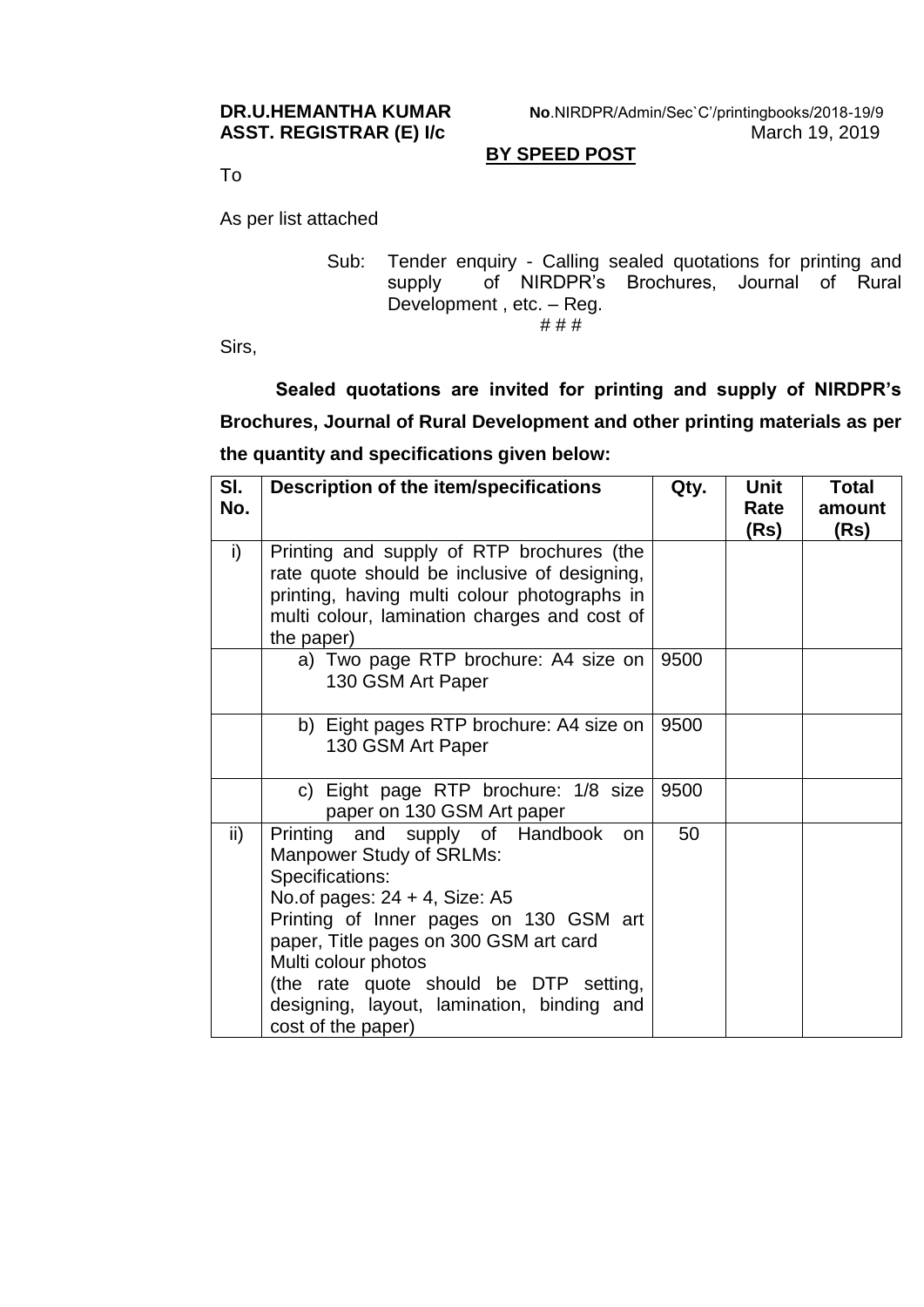**DR.U.HEMANTHA KUMAR No**.NIRDPR/Admin/Sec`C'/printingbooks/2018-19/9 **ASST. REGISTRAR (E) I/c** March 19, 2019

## **BY SPEED POST**

To

As per list attached

Sub: Tender enquiry - Calling sealed quotations for printing and supply of NIRDPR's Brochures, Journal of Rural Development, etc. - Reg. # # #

Sirs,

**Sealed quotations are invited for printing and supply of NIRDPR's Brochures, Journal of Rural Development and other printing materials as per the quantity and specifications given below:**

| SI.<br>No. | Description of the item/specifications                                                                                                                                                                                                                                                                                                                    | Qty. | Unit<br>Rate | <b>Total</b><br>amount |
|------------|-----------------------------------------------------------------------------------------------------------------------------------------------------------------------------------------------------------------------------------------------------------------------------------------------------------------------------------------------------------|------|--------------|------------------------|
| i)         | Printing and supply of RTP brochures (the<br>rate quote should be inclusive of designing,<br>printing, having multi colour photographs in<br>multi colour, lamination charges and cost of<br>the paper)                                                                                                                                                   |      | (Rs)         | (Rs)                   |
|            | a) Two page RTP brochure: A4 size on<br>130 GSM Art Paper                                                                                                                                                                                                                                                                                                 | 9500 |              |                        |
|            | b) Eight pages RTP brochure: A4 size on<br>130 GSM Art Paper                                                                                                                                                                                                                                                                                              | 9500 |              |                        |
|            | c) Eight page RTP brochure: 1/8 size<br>paper on 130 GSM Art paper                                                                                                                                                                                                                                                                                        | 9500 |              |                        |
| ii)        | Printing and supply of Handbook<br><b>on</b><br>Manpower Study of SRLMs:<br>Specifications:<br>No. of pages: $24 + 4$ , Size: A5<br>Printing of Inner pages on 130 GSM art<br>paper, Title pages on 300 GSM art card<br>Multi colour photos<br>(the rate quote should be DTP setting,<br>designing, layout, lamination, binding and<br>cost of the paper) | 50   |              |                        |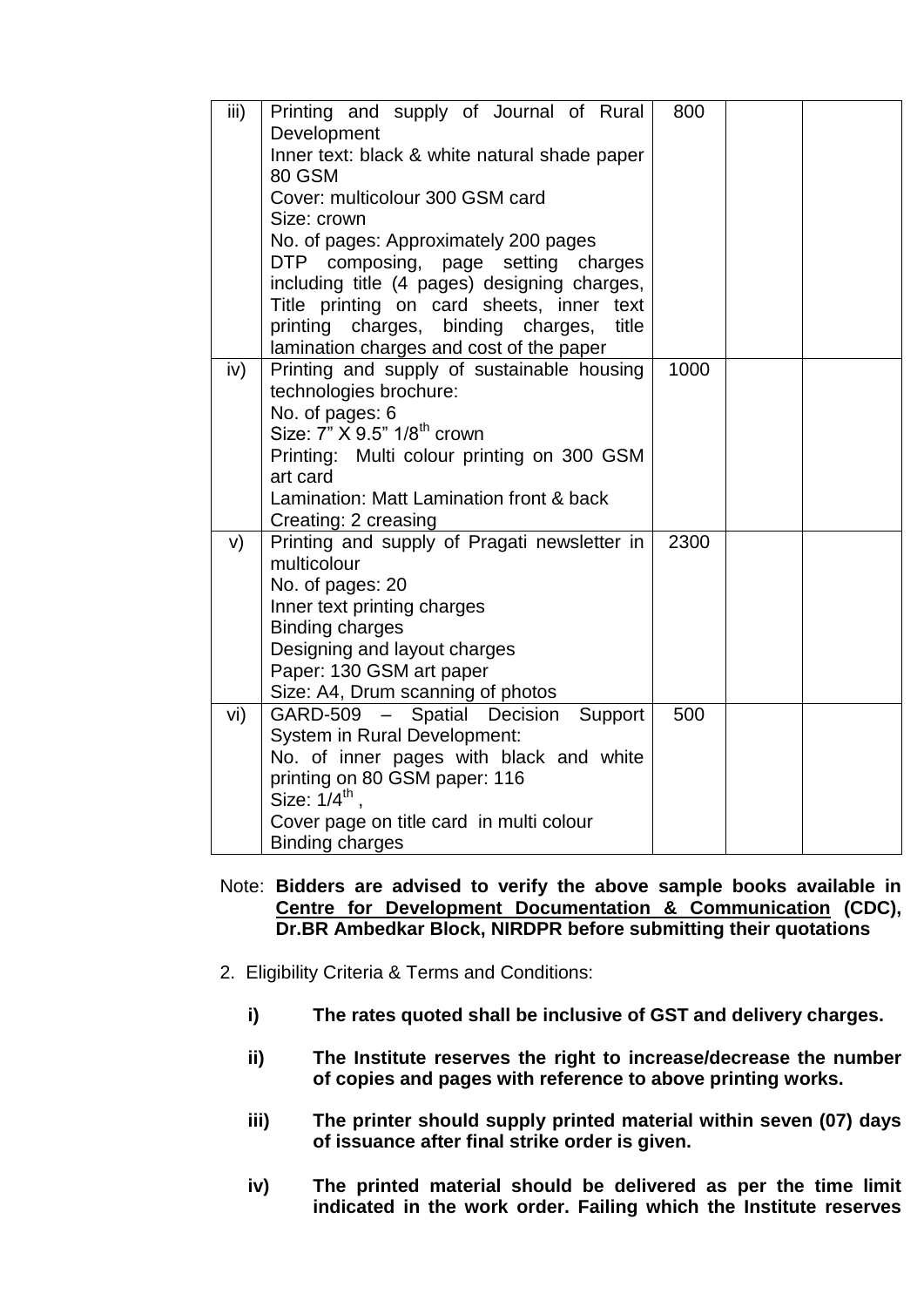| iii) | Printing and supply of Journal of Rural       | 800  |  |
|------|-----------------------------------------------|------|--|
|      | Development                                   |      |  |
|      | Inner text: black & white natural shade paper |      |  |
|      | 80 GSM                                        |      |  |
|      | Cover: multicolour 300 GSM card               |      |  |
|      | Size: crown                                   |      |  |
|      | No. of pages: Approximately 200 pages         |      |  |
|      | DTP<br>composing, page setting charges        |      |  |
|      | including title (4 pages) designing charges,  |      |  |
|      | Title printing on card sheets, inner text     |      |  |
|      | printing charges, binding charges,<br>title   |      |  |
|      | lamination charges and cost of the paper      |      |  |
| iv)  | Printing and supply of sustainable housing    | 1000 |  |
|      | technologies brochure:                        |      |  |
|      | No. of pages: 6                               |      |  |
|      | Size: 7" X 9.5" 1/8 <sup>th</sup> crown       |      |  |
|      | Printing: Multi colour printing on 300 GSM    |      |  |
|      | art card                                      |      |  |
|      | Lamination: Matt Lamination front & back      |      |  |
|      | Creating: 2 creasing                          |      |  |
| V)   | Printing and supply of Pragati newsletter in  | 2300 |  |
|      | multicolour                                   |      |  |
|      | No. of pages: 20                              |      |  |
|      | Inner text printing charges                   |      |  |
|      | <b>Binding charges</b>                        |      |  |
|      | Designing and layout charges                  |      |  |
|      | Paper: 130 GSM art paper                      |      |  |
|      | Size: A4, Drum scanning of photos             |      |  |
| vi)  | GARD-509 - Spatial Decision<br>Support        | 500  |  |
|      | <b>System in Rural Development:</b>           |      |  |
|      | No. of inner pages with black and white       |      |  |
|      | printing on 80 GSM paper: 116                 |      |  |
|      | Size: $1/4^{\text{th}}$ .                     |      |  |
|      | Cover page on title card in multi colour      |      |  |
|      | <b>Binding charges</b>                        |      |  |

- Note: **Bidders are advised to verify the above sample books available in [Centre for Development Documentation & Communication](http://www.nird.org.in/cdc.aspx) (CDC), Dr.BR Ambedkar Block, NIRDPR before submitting their quotations**
- 2. Eligibility Criteria & Terms and Conditions:
	- **i) The rates quoted shall be inclusive of GST and delivery charges.**
	- **ii) The Institute reserves the right to increase/decrease the number of copies and pages with reference to above printing works.**
	- **iii) The printer should supply printed material within seven (07) days of issuance after final strike order is given.**
	- **iv) The printed material should be delivered as per the time limit indicated in the work order. Failing which the Institute reserves**